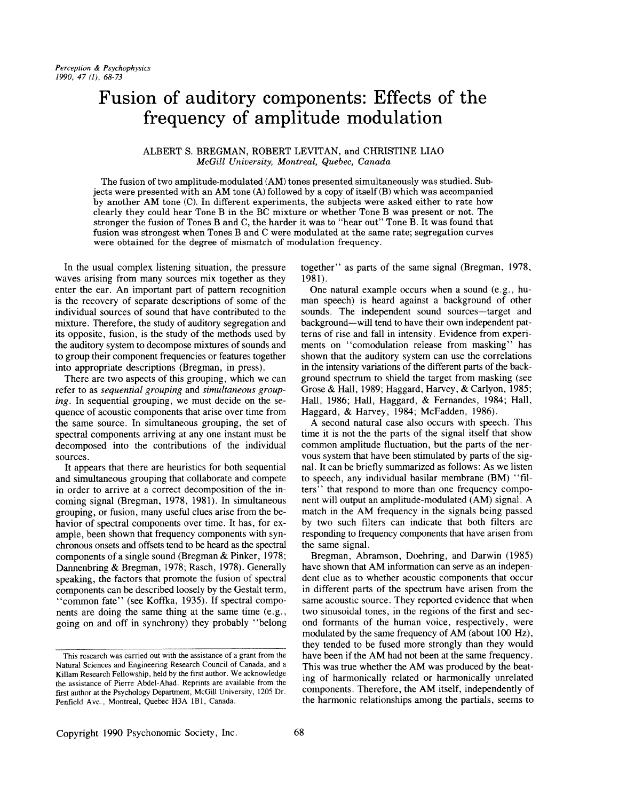# **Fusion of auditory components: Effects of the frequency of amplitude modulation**

## ALBERT S. BREGMAN, ROBERT LEVITAN, and CHRISTINE LIAO *McGill University, Montreal, Quebec, Canada*

The fusion of two amplitude-modulated (AM) tones presented simultaneously was studied. Subjects were presented with an AM tone (A) followed by a copy of itself (B) which was accompanied by another AM tone (C). In different experiments, the subjects were asked either to rate how clearly they could hear Tone B in the BC mixture or whether Tone B was present or not. The stronger the fusion of Tones B and C, the harder it was to "hear out" Tone B. It was found that fusion was strongest when Tones B and C were modulated at the same rate; segregation curves were obtained for the degree of mismatch of modulation frequency.

In the usual complex listening situation, the pressure waves arising from many sources mix together as they enter the ear. An important part of pattern recognition is the recovery of separate descriptions of some of the individual sources of sound that have contributed to the mixture. Therefore, the study of auditory segregation and its opposite, fusion, is the study of the methods used by the auditory system to decomposemixtures of sounds and to group their component frequencies or features together into appropriate descriptions (Bregman, in press).

There are two aspects of this grouping, which we can refer to as *sequential grouping* and *simultaneous grouping.* In sequential grouping, we must decide on the sequence of acoustic components that arise over time from the same source. In simultaneous grouping, the set of spectral components arriving at any one instant must be decomposed into the contributions of the individual sources.

It appears that there are heuristics for both sequential and simultaneous grouping that collaborate and compete in order to arrive at a correct decomposition of the incoming signal (Bregman, 1978, 1981). In simultaneous grouping, or fusion, many useful clues arise from the behavior of spectral components over time. It has, for example, been shown that frequency components with synchronous onsets and offsets tend to be heard as the spectral components of a single sound (Bregman& Pinker, 1978; Dannenbring & Bregman, 1978; Rasch, 1978). Generally speaking, the factors that promote the fusion of spectral components can be described loosely by the Gestalt term, "common fate" (see Koffka, *1935).* If spectral components are doing the same thing at the same time (e.g., going on and off in synchrony) they probably "belong together" as parts of the same signal (Bregman, 1978, 1981).

One natural example occurs when a sound (e.g., human speech) is heard against a background of other sounds. The independent sound sources—target and background—will tend to have their own independent patterns of rise and fall in intensity. Evidence from experiments on "comodulation release from masking" has shown that the auditory system can use the correlations in the intensity variations of the different parts of the background spectrum to shield the target from masking (see Grose & Hall, 1989; Haggard, Harvey, & Carlyon, 1985; Hall, 1986; Hall, Haggard, & Fernandes, 1984; Hall, Haggard, & Harvey, 1984; McFadden, 1986).

A second natural case also occurs with speech. This time it is not the the parts of the signal itself that show common amplitude fluctuation, but the parts of the nervous system that have been stimulated by parts of the signal. It can be briefly summarized as follows: As welisten to speech, any individual basilar membrane (BM) "filters" that respond to more than one frequency component will output an amplitude-modulated (AM) signal. A match in the AM frequency in the signals being passed by two such filters can indicate that both filters are responding to frequency components that have arisen from the same signal.

Bregman, Abramson, Doehring, and Darwin (1985) have shown that AM information can serve as an independent clue as to whether acoustic components that occur in different parts of the spectrum have arisen from the same acoustic source. They reported evidence that when two sinusoidal tones, in the regions of the first and second formants of the human voice, respectively, were modulated by the same frequency of AM (about 100 Hz), they tended to be fused more strongly than they would have been if the AM had not been at the same frequency. This was true whether the AM was produced by the beating of harmonically related or harmonically unrelated components. Therefore, the AM itself, independently of the harmonic relationships among the partials, seems to

This research was carried out with the assistance of a grant from the Natural Sciences and Engineering Research Council of Canada, and a Killam Research Fellowship, held by the first author. We acknowledge the assistance of Pierre Abdel-Ahad. Reprints are available from the first author at the Psychology Department, McGill University, 1205 Dr. Penfield Ave., Montreal, Quebec H3A lBl, Canada.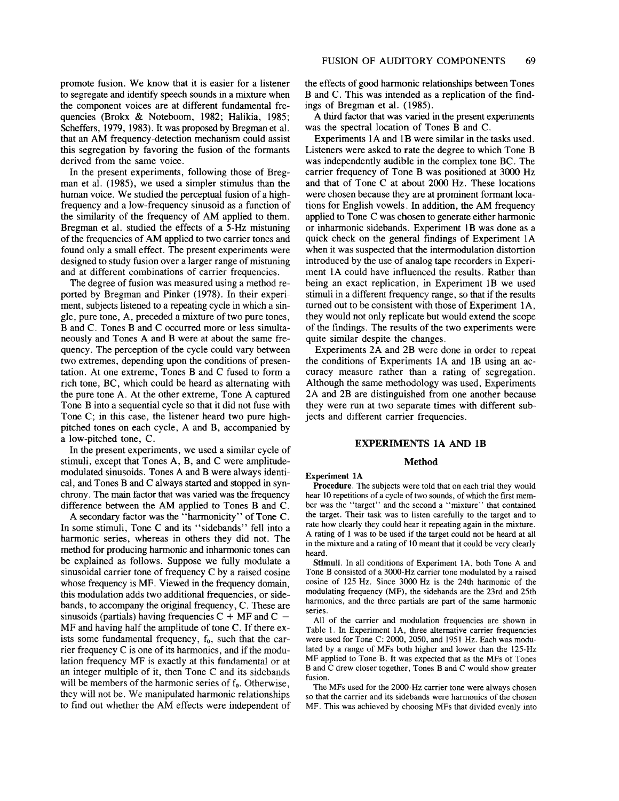promote fusion. We know that it is easier for a listener to segregate and identify speech sounds in a mixture when the component voices are at different fundamental frequencies (Brokx & Noteboom, 1982; Halikia, 1985; Scheffers, 1979, 1983). It was proposed by Bregman et al. that an AM frequency-detection mechanism could assist this segregation by favoring the fusion of the formants derived from the same voice.

In the present experiments, following those of Bregman et al. *(1985),* we used a simpler stimulus than the human voice. We studied the perceptual fusion of a highfrequency and a low-frequency sinusoid as a function of the similarity of the frequency of AM applied to them. Bregman et al. studied the effects of a 5-Hz mistuning of the frequencies of AM applied to two carrier tones and found only a small effect. The present experiments were designed to study fusion over a larger range of mistuning and at different combinations of carrier frequencies.

The degree of fusion was measured using a method reported by Bregman and Pinker (1978). In their experiment, subjects listened to a repeating cycle inwhich a single, pure tone, A, preceded a mixture of two pure tones, B and C. Tones B and C occurred more or less simultaneously and Tones A and <sup>B</sup> were at about the same frequency. The perception of the cycle could vary between two extremes, depending upon the conditions of presentation. At one extreme, Tones B and C fused to form a rich tone, BC, which could be heard as alternating with the pure tone A. At the other extreme, Tone A captured Tone B into a sequential cycle so that it did not fuse with Tone C; in this case, the listener heard two pure highpitched tones on each cycle, A and B, accompanied by a low-pitched tone, C.

In the present experiments, we used a similar cycle of stimuli, except that Tones A, B, and C were amplitudemodulated sinusoids. Tones A and B were always identical, and Tones <sup>B</sup> and C always started and stopped in synchrony. The main factor that was varied was the frequency difference between the AM applied to Tones B and C.

A secondary factor was the "harmonicity" of Tone C. In some stimuli, Tone C and its "sidebands" fell into a harmonic series, whereas in others they did not. The method for producing harmonic and inharmonic tones can be explained as follows. Suppose we fully modulate a sinusoidal carrier tone of frequency C by a raised cosine whose frequency is MF. Viewed in the frequency domain, this modulation adds two additional frequencies, or sidebands, to accompany the original frequency, C. These are sinusoids (partials) having frequencies C *+* MF and C —  $MF$  and having half the amplitude of tone C. If there exists some fundamental frequency,  $f_0$ , such that the carrier frequency C is one of its harmonics, and if the modulation frequency MF is exactly at this fundamental or at an integer multiple of it, then Tone C and its sidebands will be members of the harmonic series of  $f_0$ . Otherwise, they will not be. We manipulated harmonic relationships to find out whether the AM effects were independent of the effects of good harmonic relationships between Tones B and C. This was intended as <sup>a</sup> replication of the findings of Bregman et al. *(1985).*

A third factor that was varied in the present experiments was the spectral location of Tones B and C.

Experiments 1A and 1B were similar in the tasks used. Listeners were asked to rate the degree to which Tone B was independently audible in the complex tone BC. The carrier frequency of Tone B was positioned at 3000 Hz and that of Tone C at about 2000 Hz. These locations were chosen because they are at prominent formant locations for English vowels. In addition, the AM frequency applied to Tone C was chosen to generate either harmonic or inharmonic sidebands. Experiment lB was done as a quick check on the general findings of Experiment 1A when it was suspected that the intermodulation distortion introduced by the use of analog tape recorders in Experiment 1A could have influenced the results. Rather than being an exact replication, in Experiment lB we used stimuli in a different frequency range, sothat if the results turned out to be consistent with those of Experiment 1A, they would not only replicate but would extend the scope of the findings. The results of the two experiments were quite similar despite the changes.

Experiments 2A and 2B were done in order to repeat the conditions of Experiments 1A and 1B using an accuracy measure rather than a rating of segregation. Although the same methodology was used, Experiments 2A and 2B are distinguished from one another because they were run at two separate times with different subjects and different carrier frequencies.

#### EXPERiMENTS 1A AND lB

### Method

#### Experiment 1A

Procedure. The subjects were told that on each trial they would hear 10 repetitions of a cycle of two sounds, of which the first member was the "target" and the second a "mixture" that contained the target. Their task was to listen carefully to the target and to rate how clearly they could hear it repeating again in the mixture. A rating of <sup>1</sup> was to be used if the target could not be heard at all in the mixture and a rating of 10 meant that it could be very clearly heard.

Stimuli. In all conditions of Experiment 1A, both Tone A and Tone B consisted of a 3000-Hz carrier tone modulated by a raised cosine of 125 Hz. Since 3000 Hz is the 24th harmonic of the modulating frequency (MF), the sidebands are the 23rd and 25th harmonics, and the three partials are part of the same harmonic series.

All of the carrier and modulation frequencies are shown in Table 1. In Experiment 1A, three alternative carrier frequencies were used for Tone C: 2000, 2050, and 1951 Hz. Eachwas modulated by a range of MFs both higher and lower than the 125-Hz MF applied to Tone B. It was expected that as the MFs of Tones B and C drew closer together, Tones B and C would show greater fusion.

The MFs used for the 2000-Hz carrier tone were always chosen so that the carrier and its sidebands were harmonics of the chosen MF. This was achieved by choosing MFs that divided evenly into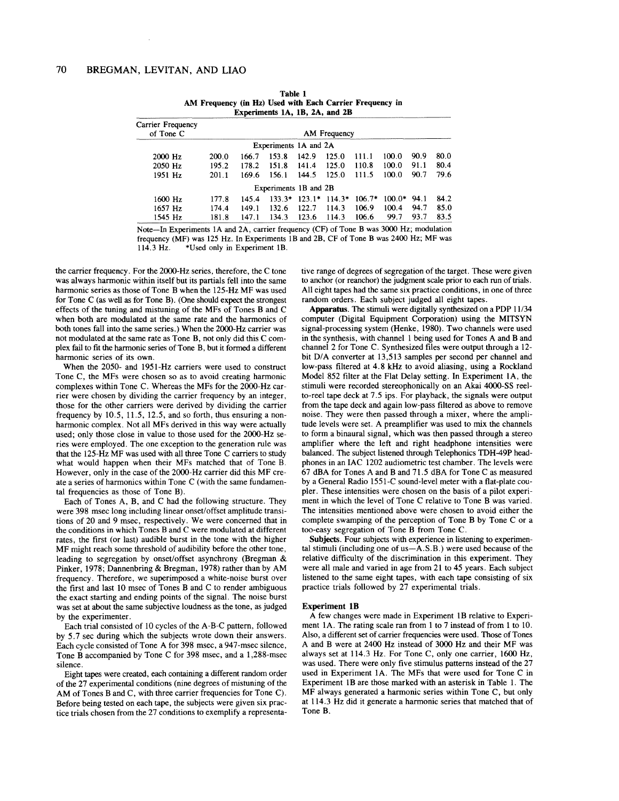| Carrier Frequency<br>of Tone C | AM Frequency |       |                       |          |          |          |          |      |      |
|--------------------------------|--------------|-------|-----------------------|----------|----------|----------|----------|------|------|
|                                |              |       | Experiments 1A and 2A |          |          |          |          |      |      |
| 2000 Hz                        | 200.0        | 166.7 | 153.8                 | 142.9    | 125.0    | 111.1    | 100.0    | 90.9 | 80.0 |
| 2050 Hz                        | 195.2        | 178.2 | 151.8                 | 141.4    | 125.0    | 110.8    | 100.0    | 91.1 | 80.4 |
| 1951 Hz                        | 201.1        | 169.6 | 156.1                 | 144.5    | 125.0    | 111.5    | 100.0    | 90.7 | 79.6 |
|                                |              |       | Experiments 1B and 2B |          |          |          |          |      |      |
| 1600 Hz                        | 177.8        | 145.4 | $133.3*$              | $123.1*$ | $114.3*$ | $106.7*$ | $100.0*$ | 94.1 | 84.2 |
| 1657 Hz                        | 174.4        | 149.1 | 132.6                 | 122.7    | 114.3    | 106.9    | 100.4    | 94.7 | 85.0 |
| $1545$ Hz                      | 181.8        | 147.1 | 134.3                 | 123.6    | 114.3    | 106.6    | 99.7     | 93.7 | 83.5 |

**Table 1 AM Frequency (in Hz)** Used **with Each Carrier Frequency in Experiments 1A, 1B, 2A,** and **2B**

Note-In Experiments 1A and 2A, carrier frequency (CF) of Tone B was 3000 Hz; modulation frequency (MF) was 125 Hz. In Experiments lB and 2B, CF of Tone B was 2400 **Hz; MF was** \*Used only in Experiment 1B.

the carrier**frequency. For** the2000-Hz series, therefore, theC tone was always harmonic **withinitself but its** partials fell into the same harmonic series as thoseof Tone B when the 125-Hz MF was used for Tone C (as well as for Tone B). (One should expect the strongest effects of the tuning and mistumng of the MFs of Tones B and C when both are modulated at the same rate and the harmonics of both tones fall into the same series.) When the2000-Hz carrier **was** not modulated at the same rate as Tone B, not only did this C complex fail to fit the harmonic series of Tone B, but it formed a different harmonic series of its own.

When the 2050- and 1951-Hz carriers were used to construct Tone C, the MFs were chosen so as to avoid creating harmonic complexes within Tone C. Whereas the MFs for the 2000-Hz carrier were chosen by dividing the carrier frequency by an integer, those for the other carriers were derived by dividing the carrier frequency by 10.5, 11.5, 12.5, and so forth, thus ensuring a nonharmonic complex. Not all MFs derived in this way were actually used; only those close in value to those used for the 2000-Hz series were employed. The one exception to the generation rule was that the 125-HzMF was used with all three Tone C carriers to study **what** would happen when their MFs matched that of Tone B. However, only in the case of the 2000-Hz carrier did this MF create a series of harmonics within Tone C (with the same fundamental frequencies as those of Tone B).

Each of Tones A, B, and C had the following structure. They were 398 msec long including linear onset/offset amplitude transitions of 20 and 9 msec, respectively. We were concerned that in the conditions in which Tones B and C were modulated at different rates, the first (or last) audible burst in the tone with the higher MF might reach some threshold of audibility before the other tone, leading to segregation by onset/offset asynchrony (Bregman & Pinker, 1978; Dannenbring & Bregman, 1978) rather than by AM frequency. Therefore, we superimposed a white-noise burst over the first and last 10 msec of Tones B and C to render ambiguous the exact starting andending points of the signal. The noise burst was set at about the same subjective loudness as the tone, as judged by the experimenter.

Each trial consisted of 10 cycles of the A-B-C pattern, followed by 5.7 sec during which the **subjects wrote** down their answers. Each cycle consisted of Tone A for 398 msec, a 947-msec silence, Tone **B accompanied** by Tone C for 398 msec, and a 1,288-msec silence.

Eight tapes were created, each containing a different random order of the 27 experimental conditions (nine degrees of mistuning of the AM of Tones B and C, with three carrier frequencies for Tone C). Before being **tested on each tape, the subjects were given six prac**tice trials chosen from the 27 conditions to exemplify a representative range of degrees of segregation of the target. These were given to anchor **(or** reanchor) **the judgment** scale**prior to** each run**of**trials. All eight tapes had the same six practice conditions, in one of three **random orders. Each subject judged all eight tapes.**

**Apparatus. The stimuli were** digitally synthesized **ona PDP** 11/34 **computer (Digital Equipment Corporation) using the MITSYN** signal-processing **system (Henke, 1980). Two channels were used** in the synthesis, with channel I being used for Tones **Aand B and channel 2 for Tone C.** Synthesized **files were** output through a 12 bit D/A converter at 13,513 samples per second per channel and low-pass filtered at 4.8 kHz to avoid aliasing, using a Rockland Model 852 filter at the Flat Delay setting. In Experiment 1A, the stimuli were recorded stereophonically on an Akai 4000-SS reelto-reel tape deck **at** *7.5* ips. For playback, the signals were output from **the** tape deck **and again** low-pass filtered as above to remove **noise. They were then passed** through a mixer, where the amplitude levels were set. A preamplifier wasused to mix **the channels to form <sup>a</sup> binaural signal, which was then passed** through a stereo amplifier **where the left and** right headphone intensities were balanced. The subject listened through Telephonics TDH-49P headphones in an IAC 1202 audiometric test chamber. The levels were 67 dBA for Tones A and B and 71.5 dBA for Tone C as measured by a General Radio 1551-C sound-level meter with a flat-plate coupler. These intensities were chosen on the basis of a pilot experiment in which the level of Tone C relative to Tone B was varied. The intensities mentioned above were chosen to avoid either the complete swamping of the perception of Tone B by Tone C or a **too-easy segregation of Tone B from Tone C.**

Subjects. Four subjects with experience in listening to experimental stimuli (including one of us—A.S.B.) were used because of the **relative difficulty of the discrimination in this experiment. They were all male and varied in age from 21 to 45 years. Each subject** listened to the same eight tapes, with each tape consisting of six practice trials followed by 27 experimental trials.

#### Experiment **lB**

A few changes were made in Experiment lB relative to Experiment 1A. The rating scale ran from 1 to 7 instead of from 1 to 10. Also, a different set of carrier frequencies were used. Those of Tones **A and B were at** 2400 **Hz instead of** 3000 Hz and **their MF was** always set at 114.3 Hz. For Tone C, only one carrier, 1600 **Hz,** was used. There were only five stimulus patterns instead of the 27 **used in Experiment LA. The MFs that were used for Tone C in Experiment lB are those marked with an asterisk in Table 1. The MF always generated <sup>a</sup> harmonic series within Tone C, but only at 114.3 Hz did it generate <sup>a</sup> harmonic series that matched that of Tone B.**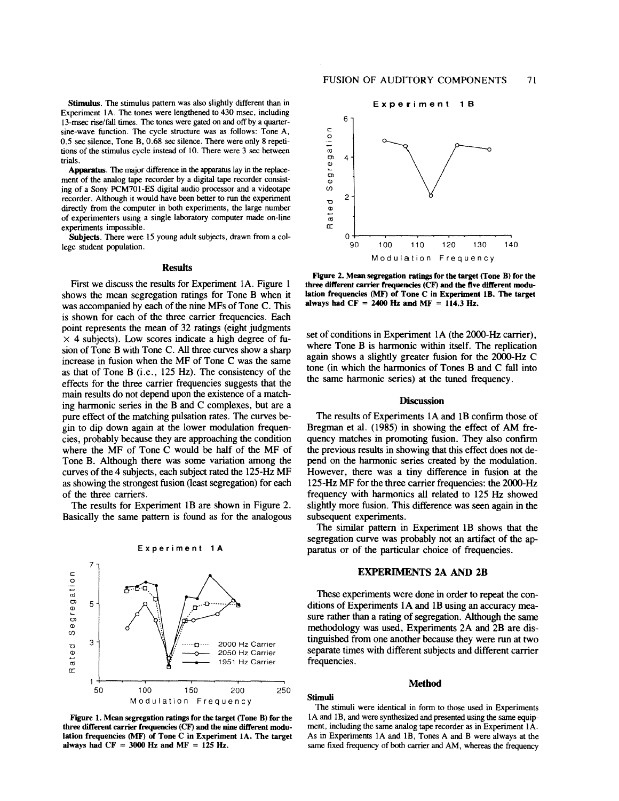Stimulus. **The stimulus pattern** was **also slightly different than in Experiment 1A. The tones were** lengthened **to 430 msec, including** 13-msec rise/fall times. **The** tones **were** gated **on and offby <sup>a</sup>** quarter**sine-wave function. The cycle structure** was as **follows: Tone A,** *0.5* sec silence, **Tone B, 0.68** sec **silence. There wereonly <sup>8</sup> repetitions** of **the stimulus** cycle instead **of 10. There were <sup>3</sup> sec between** trials.

Apparatus. The major difference in the apparatus**lay in the replacement of the** analog tape recorder by a digital **tape recorder consisting of a Sony PCM7O1-ES digital audio** processor and **<sup>a</sup>** videotape recorder. Although it would have been better **to run the experiment** directly **from the computer in** both experiments, **the large number of** experimenters using a single laboratory computer made on-line experiments impossible.

Subjects. **There were 15 young adult subjects, drawn from <sup>a</sup> col**lege student population.

## **Results**

First we discuss the results for Experiment 1A. Figure <sup>1</sup> shows the mean segregation ratings for Tone B when it was accompanied by each of the nine MFs of Tone C. This is shown for each of the three carrier frequencies. Each point represents the mean of 32 ratings (eight judgments  $\times$  4 subjects). Low scores indicate a high degree of fusion of Tone B with Tone C. All three curves show a sharp increase in fusion when the MF of Tone C was the same as that of Tone B (i.e., 125 Hz). The consistency of the effects for the three carrier frequencies suggests that the main results do not depend upon the existence of amatching harmonic series in the B and C complexes, but are a pure effect of the matching pulsation rates. The curves begin to dip down again at the lower modulation frequencies, probably because they are approaching the condition where the MF of Tone C would be half of the MF of Tone B. Although there was some variation among the curves of the 4 subjects, each subject rated the 125-Hz MF as showing the strongest fusion (least segregation) for each of the three carriers.

The results for Experiment lB are shown in Figure 2. Basically the same pattern is found as for the analogous



Experiment **1A**

**Figure 1.** Mean segregation ratingsfor the target (Tone B) for the three different carrier frequencies (CF) and the nine different modulation frequencies (MF) of Tone C in Experiment 1A. The target always had CF = 3000 Hz and MF = *125 Hz.*



D **C** Ce cc 2

+0<br>0e

Figure 2. Mean segregation ratings for the target (Tone B) for the three different carrier frequencies (CF) and the five different modulation frequencies (MF) of Tone C in Experiment **lB.** The target always had  $CF = 2400$  Hz and  $MF = 114.3$  Hz.

90 100 110 120 130 140 Modulation Frequency

set of conditions in Experiment 1A (the 2000-Hz carrier), where Tone B is harmonic within itself. The replication again shows a slightly greater fusion for the 2000-Hz C tone (in which the harmonics of Tones B and C fall into the same harmonic series) at the tuned frequency.

## **Discussion**

The results of Experiments 1A and 1B confirm those of Bregman et al. (1985) in showing the effect of AM fre- quency matches in promoting fusion. They also confirm the previous results in showing that this effect does not depend on the harmonic series created by the modulation. However, there was a tiny difference in fusion at the 125-Hz MF for the three carrier frequencies: the 2000-Hz frequency with harmonics all related to 125 Hz showed slightly more fusion. This difference was seen again in the subsequent experiments.

The similar pattern in Experiment lB shows that the segregation curve was probably not an artifact of the apparatus or of the particular choice of frequencies.

## EXPERIMENTS 2A AND 2B

These experiments were done in order to repeat the conditions of Experiments 1A and lB using an accuracy measure rather than a rating of segregation. Although the same methodology was used, Experiments 2A and 2B are distinguished from one another because they were run at two separate times with different subjects and different carrier frequencies.

#### **Method**

Stimuli

**The stimuli were identical in form to those used in** Experiments **1A and 1B,** and **were synthesized and presented using the** same **equipment, including the same analog tape recorder as in Experiment LA. As in Experiments 1A and lB. Tones A and <sup>B</sup> were always at the** same **fixed frequency of** both **carrier and AM, whereas the frequency**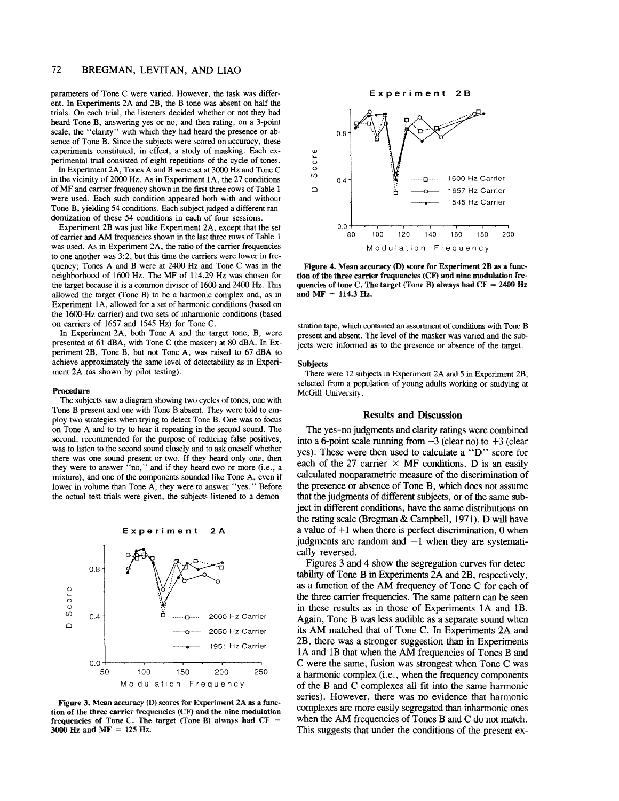**parameters of Tone C were** varied. **However, the** task **was** different. In Experiments 2A **and 2B, the B tone** was absent **on half the** trials. On each trial, **the listeners decided whether or not they had** heard **Tone B, answering yes or no, and then** rating, **on a 3-point** scale, the "clarity" **with** which **they had** heard the presence or absence **of Tone B. Since the subjects were scored on accuracy, these experiments constituted, in effect, <sup>a</sup> study of masking. Each experimental trial** consisted of eight repetitions of the cycle of tones.

**In** Experiment 2A, Tones A and B were set at 3000 **Hz and Tone C in the vicinity of** 2000 Hz. As in Experiment 1A, the **27 conditions of MF** and carrier**frequency shown in the** first **three rows of Table <sup>1</sup> were used.** Each **such condition** appeared **both with and without** Tone B, yielding 54 conditions. Each subject judged a different ran**domization of these 54 conditions in each of four sessions.**

Experiment 2B **was just like Experiment 2A, exceptthat the set** of carrier and AM frequenciesshown **in the last three rows of Table <sup>1</sup> was** used. As in Experiment **2A, the ratio ofthe carrier frequencies to one another was 3:2, but this time the carriers were lower in frequency; Tones A and B were at** 2400 Hz and Tone **C was in the neighborhood of** 1600 Hz. The MF of **114.29 Hz was chosen for** the target because it is a common divisor of 1600 and 2400 Hz. This allowed the target (Tone B) to be a harmonic complex and, as in Experiment 1A, allowed for a set of harmonic conditions (based on the 1600-Hz carrier) and two sets of inharmonic conditions (based on carriers of 1657 and 1545 Hz) for Tone C.

**In Experiment 2A, both Tone A** and **the** target tone, **B, were** presented at 61 dBA, with Tone C (the masker) at 80 dBA. In Experiment **2B, Tone B, but not Tone A, was raised to 67** dBA to **achieve approximately the** same level of detectability as in Experiment 2A (as shown by pilot testing).

#### Procedure

**The** subjects saw a diagram showing **two cycles oftones, one with Tone B present andone with Tone B absent. They were told to employ two strategies when trying to detect Tone <b>B**. One was to focus **on Tone A and to by to** hearit repeating **in the second sound. The second, recommended for the purpose of reducing false positives, was to listen to the second sound closely** and to ask **oneself whether there was one sound present or two. Ifthey** heard **only one, then they were to answer "no,"** and **if they heard two or more (i.e., <sup>a</sup>** mixture), and **one of the components sounded like Tone A, even if lower in volume than Tone A, they were to answer "yes." Before the** actual test trials were given, the **subjects listened to a demon-**



Figure **3.** Mean accuracy(D) scores**for** Experiment 2A as a function of the three carrier frequencies (CF) and the nine modulation frequencies of Tone C. The target (Tone B) always had CF **3000 Hz and MF** = 125 Hz.

**Experiment 2B**



Figure 4. Mean accuracy (D) score for Experiment 2B as a **functhere** is of tone **C**. The target (Tone **B**) always had CF = 2400 Hz **and MF** = **114.3 Hz.**

**stration tape, which** contained **an assortment of**conditions with Tone B **present** and absent. The level of the masker was varied and the subjects were informed as to the presence or absence of the target.

#### **Subjects**

**There were 12** subjects **in Experiment 2Aand S in Experiment 2B,** selected from a population of young adults working or studying at **McGill University.**

## Results and Discussion

The yes-no judgments and clarity ratings were combined into a 6-point scale running from  $-3$  (clear no) to  $+3$  (clear yes). These were then used to calculate a "D" score for each of the 27 carrier  $\times$  MF conditions. D is an easily calculated nonparametric measure of the discrimination of the presence or absence of Tone B, which does not assume that the judgments of different subjects, or of the same subject in different conditions, have the same distributions on the rating scale (Bregman & Campbell, 1971). D will have a value of  $+1$  when there is perfect discrimination, 0 when judgments are random and  $-1$  when they are systematically reversed.

Figures 3 and 4 show the segregation curves for detectability of Tone B in Experiments 2A and 2B, respectively, as a function of the AM frequency of Tone C for each of the three carrier frequencies. The same pattern can be seen in these results as in those of Experiments lA and lB. Again, Tone B was less audible as a separate sound when its AM matched that of Tone C. In Experiments 2A and 2B, there was a stronger suggestion than in Experiments lA and lB that when the AM frequencies of Tones B and C were the same, fusion was strongest when Tone C was 50 100 150 200 250 a harmonic complex (i.e., when the frequency components of the B and C complexes all fit into the same harmonic series). However, there was no evidence that harmonic complexes aremore easily segregated than inharmonic ones when the AM frequencies of Tones B and C do not match. This suggests that under the conditions of the present ex-